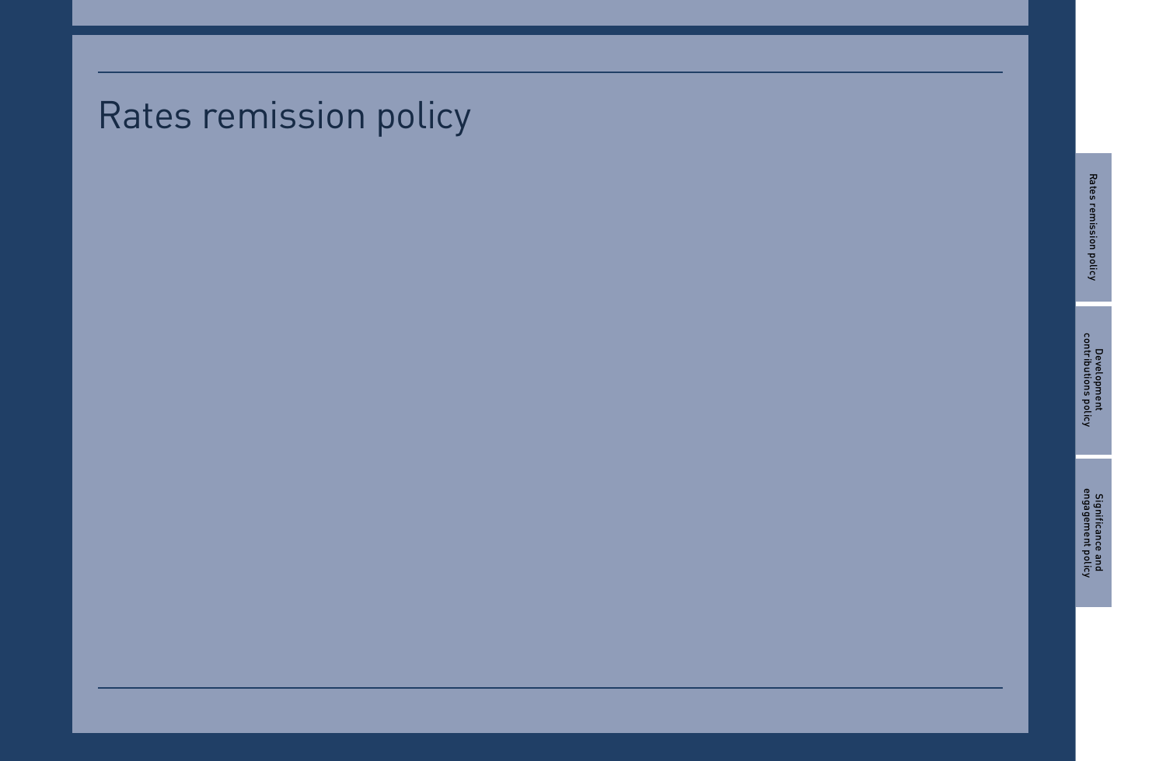# Rates remission policy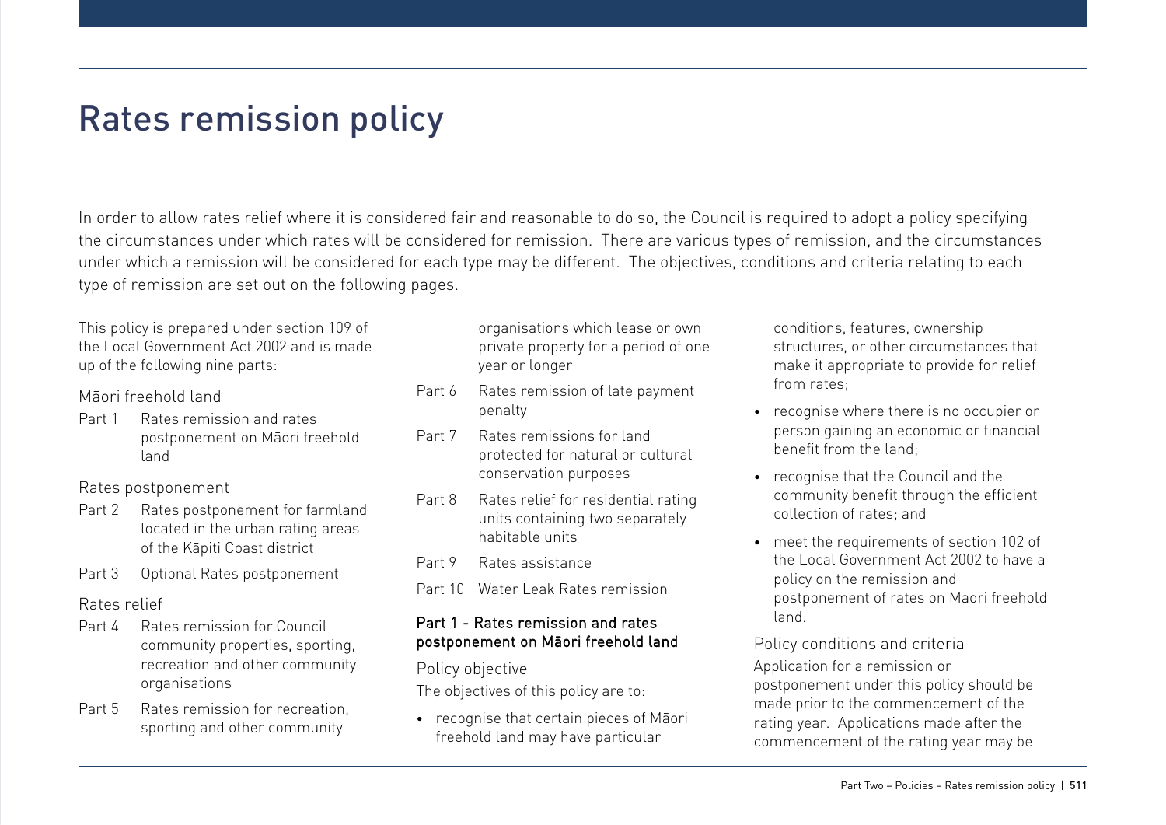# Rates remission policy

In order to allow rates relief where it is considered fair and reasonable to do so, the Council is required to adopt a policy specifying the circumstances under which rates will be considered for remission. There are various types of remission, and the circumstances under which a remission will be considered for each type may be different. The objectives, conditions and criteria relating to each type of remission are set out on the following pages.

This policy is prepared under section 109 of the Local Government Act 2002 and is made up of the following nine parts:

#### Māori freehold land

Part 1 Rates remission and rates postponement on Māori freehold land

#### Rates postponement

- Part 2 Rates postponement for farmland located in the urban rating areas of the Kāpiti Coast district
- Part 3 Optional Rates postponement

#### Rates relief

- Part 4 Rates remission for Council community properties, sporting, recreation and other community organisations
- Part 5 Rates remission for recreation. sporting and other community

organisations which lease or own private property for a period of one year or longer

- Part 6 Rates remission of late payment penalty
- Part 7 Rates remissions for land protected for natural or cultural conservation purposes
- Part 8 Rates relief for residential rating units containing two separately habitable units
- Part 9 Rates assistance
- Part 10 Water Leak Rates remission

#### Part 1 - Rates remission and rates postponement on Māori freehold land

#### Policy objective

The objectives of this policy are to:

• recognise that certain pieces of Māori freehold land may have particular

conditions, features, ownership structures, or other circumstances that make it appropriate to provide for relief from rates;

- recognise where there is no occupier or person gaining an economic or financial benefit from the land;
- recognise that the Council and the community benefit through the efficient collection of rates; and
- meet the requirements of section 102 of the Local Government Act 2002 to have a policy on the remission and postponement of rates on Māori freehold land.

Policy conditions and criteria Application for a remission or postponement under this policy should be made prior to the commencement of the rating year. Applications made after the commencement of the rating year may be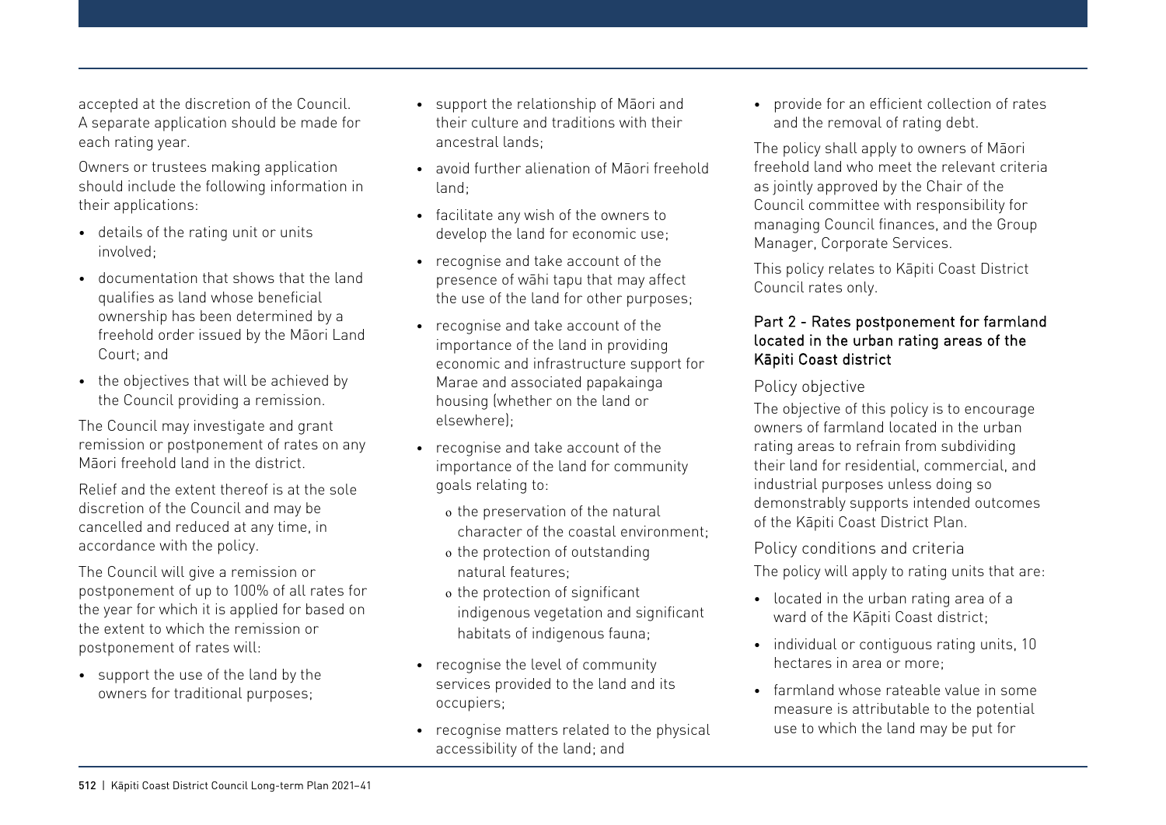accepted at the discretion of the Council. A separate application should be made for each rating year.

Owners or trustees making application should include the following information in their applications:

- details of the rating unit or units involved;
- documentation that shows that the land qualifies as land whose beneficial ownership has been determined by a freehold order issued by the Māori Land Court; and
- the objectives that will be achieved by the Council providing a remission.

The Council may investigate and grant remission or postponement of rates on any Māori freehold land in the district.

Relief and the extent thereof is at the sole discretion of the Council and may be cancelled and reduced at any time, in accordance with the policy.

The Council will give a remission or postponement of up to 100% of all rates for the year for which it is applied for based on the extent to which the remission or postponement of rates will:

• support the use of the land by the owners for traditional purposes;

- support the relationship of Māori and their culture and traditions with their ancestral lands;
- avoid further alienation of Māori freehold land;
- facilitate any wish of the owners to develop the land for economic use;
- recognise and take account of the presence of wāhi tapu that may affect the use of the land for other purposes;
- recognise and take account of the importance of the land in providing economic and infrastructure support for Marae and associated papakainga housing (whether on the land or elsewhere);
- recognise and take account of the importance of the land for community goals relating to:
	- o the preservation of the natural character of the coastal environment;
	- o the protection of outstanding natural features;
	- o the protection of significant indigenous vegetation and significant habitats of indigenous fauna;
- recognise the level of community services provided to the land and its occupiers;
- recognise matters related to the physical accessibility of the land; and

• provide for an efficient collection of rates and the removal of rating debt.

The policy shall apply to owners of Māori freehold land who meet the relevant criteria as jointly approved by the Chair of the Council committee with responsibility for managing Council finances, and the Group Manager, Corporate Services.

This policy relates to Kāpiti Coast District Council rates only.

#### Part 2 - Rates postponement for farmland located in the urban rating areas of the Kāpiti Coast district

#### Policy objective

The objective of this policy is to encourage owners of farmland located in the urban rating areas to refrain from subdividing their land for residential, commercial, and industrial purposes unless doing so demonstrably supports intended outcomes of the Kāpiti Coast District Plan.

Policy conditions and criteria The policy will apply to rating units that are:

- located in the urban rating area of a ward of the Kāpiti Coast district;
- individual or contiguous rating units, 10 hectares in area or more;
- farmland whose rateable value in some measure is attributable to the potential use to which the land may be put for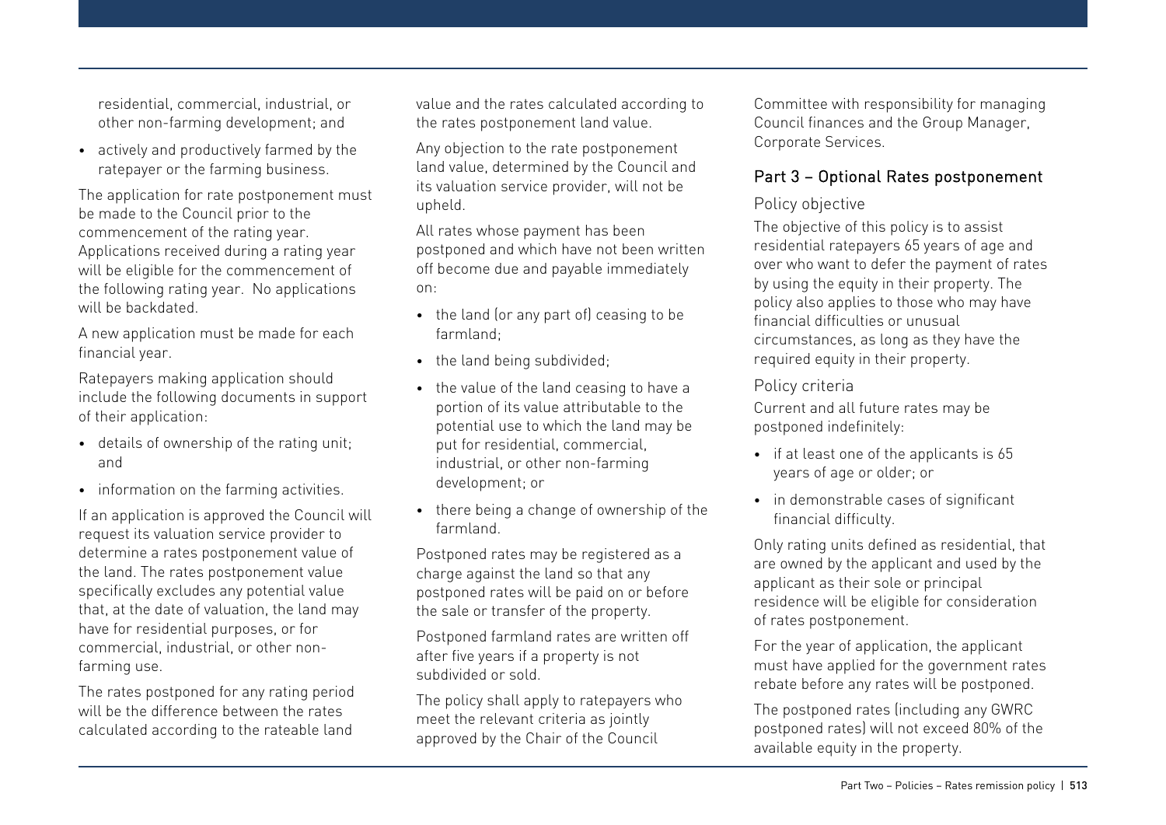residential, commercial, industrial, or other non-farming development; and

• actively and productively farmed by the ratepayer or the farming business.

The application for rate postponement must be made to the Council prior to the commencement of the rating year. Applications received during a rating year will be eligible for the commencement of the following rating year. No applications will be backdated.

A new application must be made for each financial year.

Ratepayers making application should include the following documents in support of their application:

- details of ownership of the rating unit; and
- information on the farming activities.

If an application is approved the Council will request its valuation service provider to determine a rates postponement value of the land. The rates postponement value specifically excludes any potential value that, at the date of valuation, the land may have for residential purposes, or for commercial, industrial, or other nonfarming use.

The rates postponed for any rating period will be the difference between the rates calculated according to the rateable land

value and the rates calculated according to the rates postponement land value.

Any objection to the rate postponement land value, determined by the Council and its valuation service provider, will not be upheld.

All rates whose payment has been postponed and which have not been written off become due and payable immediately on:

- the land (or any part of) ceasing to be farmland;
- the land being subdivided;
- the value of the land ceasing to have a portion of its value attributable to the potential use to which the land may be put for residential, commercial, industrial, or other non-farming development; or
- there being a change of ownership of the farmland.

Postponed rates may be registered as a charge against the land so that any postponed rates will be paid on or before the sale or transfer of the property.

Postponed farmland rates are written off after five years if a property is not subdivided or sold.

The policy shall apply to ratepayers who meet the relevant criteria as jointly approved by the Chair of the Council

Committee with responsibility for managing Council finances and the Group Manager, Corporate Services.

#### Part 3 – Optional Rates postponement

#### Policy objective

The objective of this policy is to assist residential ratepayers 65 years of age and over who want to defer the payment of rates by using the equity in their property. The policy also applies to those who may have financial difficulties or unusual circumstances, as long as they have the required equity in their property.

#### Policy criteria

Current and all future rates may be postponed indefinitely:

- if at least one of the applicants is 65 years of age or older; or
- in demonstrable cases of significant financial difficulty.

Only rating units defined as residential, that are owned by the applicant and used by the applicant as their sole or principal residence will be eligible for consideration of rates postponement.

For the year of application, the applicant must have applied for the government rates rebate before any rates will be postponed.

The postponed rates (including any GWRC postponed rates) will not exceed 80% of the available equity in the property.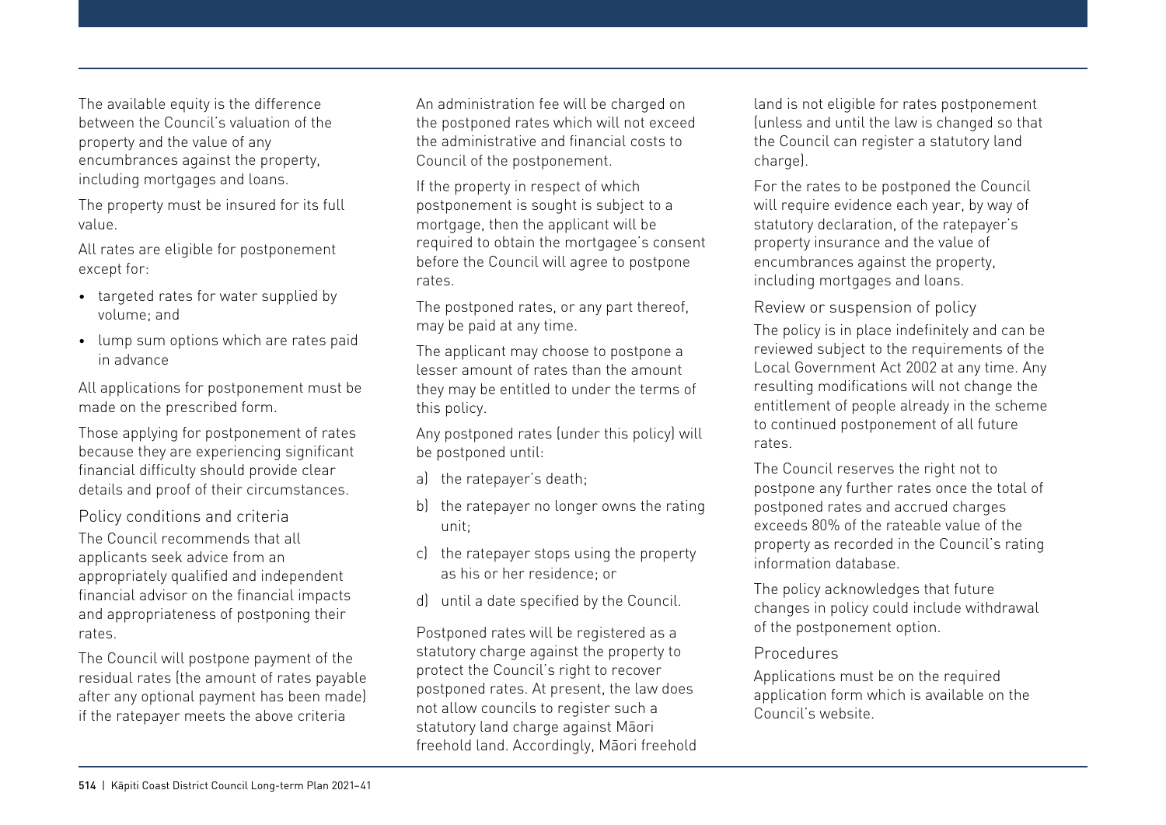The available equity is the difference between the Council's valuation of the property and the value of any encumbrances against the property, including mortgages and loans.

The property must be insured for its full value.

All rates are eligible for postponement except for:

- targeted rates for water supplied by volume; and
- lump sum options which are rates paid in advance

All applications for postponement must be made on the prescribed form.

Those applying for postponement of rates because they are experiencing significant financial difficulty should provide clear details and proof of their circumstances.

Policy conditions and criteria

The Council recommends that all applicants seek advice from an appropriately qualified and independent financial advisor on the financial impacts and appropriateness of postponing their rates.

The Council will postpone payment of the residual rates (the amount of rates payable after any optional payment has been made) if the ratepayer meets the above criteria

An administration fee will be charged on the postponed rates which will not exceed the administrative and financial costs to Council of the postponement.

If the property in respect of which postponement is sought is subject to a mortgage, then the applicant will be required to obtain the mortgagee's consent before the Council will agree to postpone rates.

The postponed rates, or any part thereof, may be paid at any time.

The applicant may choose to postpone a lesser amount of rates than the amount they may be entitled to under the terms of this policy.

Any postponed rates (under this policy) will be postponed until:

- a) the ratepayer's death;
- b) the ratepayer no longer owns the rating unit;
- c) the ratepayer stops using the property as his or her residence; or
- d) until a date specified by the Council.

Postponed rates will be registered as a statutory charge against the property to protect the Council's right to recover postponed rates. At present, the law does not allow councils to register such a statutory land charge against Māori freehold land. Accordingly, Māori freehold land is not eligible for rates postponement (unless and until the law is changed so that the Council can register a statutory land charge).

For the rates to be postponed the Council will require evidence each year, by way of statutory declaration, of the ratepayer's property insurance and the value of encumbrances against the property, including mortgages and loans.

Review or suspension of policy The policy is in place indefinitely and can be reviewed subject to the requirements of the Local Government Act 2002 at any time. Any resulting modifications will not change the entitlement of people already in the scheme to continued postponement of all future rates.

The Council reserves the right not to postpone any further rates once the total of postponed rates and accrued charges exceeds 80% of the rateable value of the property as recorded in the Council's rating information database.

The policy acknowledges that future changes in policy could include withdrawal of the postponement option.

#### Procedures

Applications must be on the required application form which is available on the Council's website.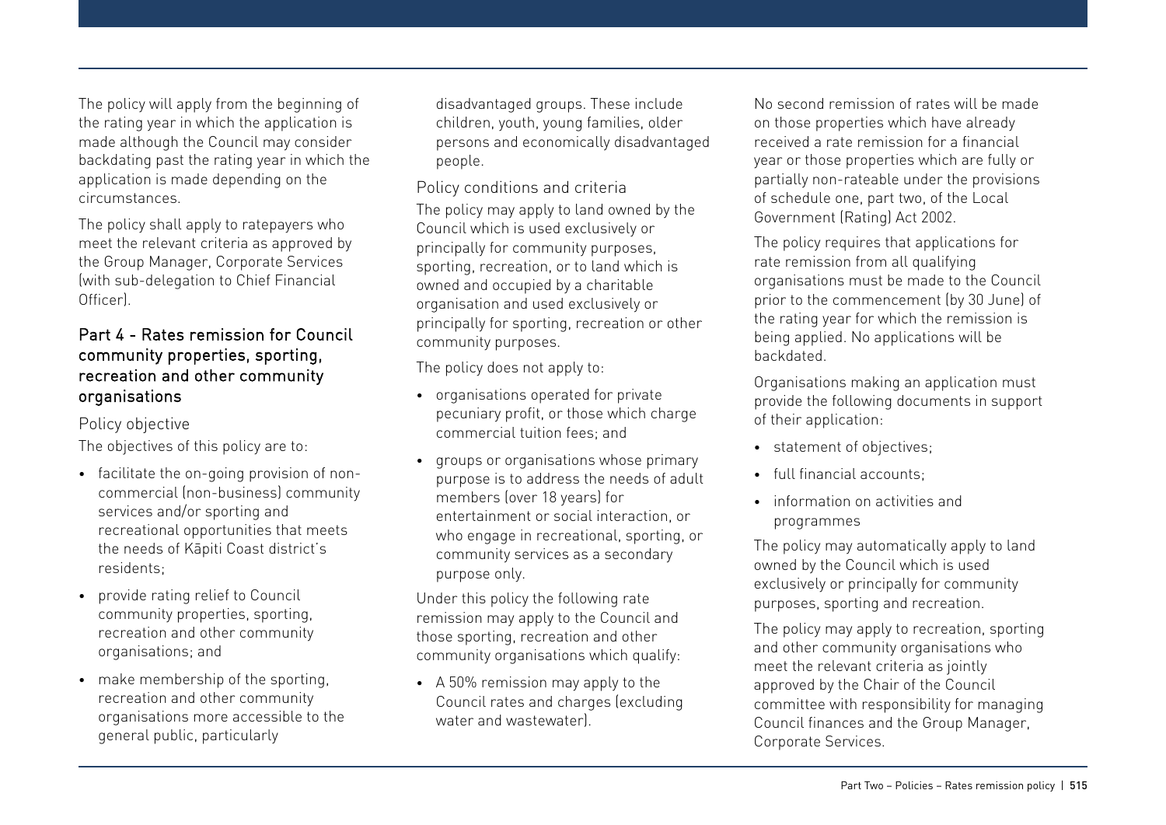The policy will apply from the beginning of the rating year in which the application is made although the Council may consider backdating past the rating year in which the application is made depending on the circumstances.

The policy shall apply to ratepayers who meet the relevant criteria as approved by the Group Manager, Corporate Services (with sub-delegation to Chief Financial Officer).

#### Part 4 - Rates remission for Council community properties, sporting, recreation and other community organisations

Policy objective

The objectives of this policy are to:

- facilitate the on-going provision of noncommercial (non-business) community services and/or sporting and recreational opportunities that meets the needs of Kāpiti Coast district's residents;
- provide rating relief to Council community properties, sporting, recreation and other community organisations; and
- make membership of the sporting, recreation and other community organisations more accessible to the general public, particularly

disadvantaged groups. These include children, youth, young families, older persons and economically disadvantaged people.

#### Policy conditions and criteria

The policy may apply to land owned by the Council which is used exclusively or principally for community purposes, sporting, recreation, or to land which is owned and occupied by a charitable organisation and used exclusively or principally for sporting, recreation or other community purposes.

The policy does not apply to:

- organisations operated for private pecuniary profit, or those which charge commercial tuition fees; and
- groups or organisations whose primary purpose is to address the needs of adult members (over 18 years) for entertainment or social interaction, or who engage in recreational, sporting, or community services as a secondary purpose only.

Under this policy the following rate remission may apply to the Council and those sporting, recreation and other community organisations which qualify:

• A 50% remission may apply to the Council rates and charges (excluding water and wastewater).

No second remission of rates will be made on those properties which have already received a rate remission for a financial year or those properties which are fully or partially non-rateable under the provisions of schedule one, part two, of the Local Government (Rating) Act 2002.

The policy requires that applications for rate remission from all qualifying organisations must be made to the Council prior to the commencement (by 30 June) of the rating year for which the remission is being applied. No applications will be backdated.

Organisations making an application must provide the following documents in support of their application:

- statement of objectives:
- full financial accounts:
- information on activities and programmes

The policy may automatically apply to land owned by the Council which is used exclusively or principally for community purposes, sporting and recreation.

The policy may apply to recreation, sporting and other community organisations who meet the relevant criteria as jointly approved by the Chair of the Council committee with responsibility for managing Council finances and the Group Manager, Corporate Services.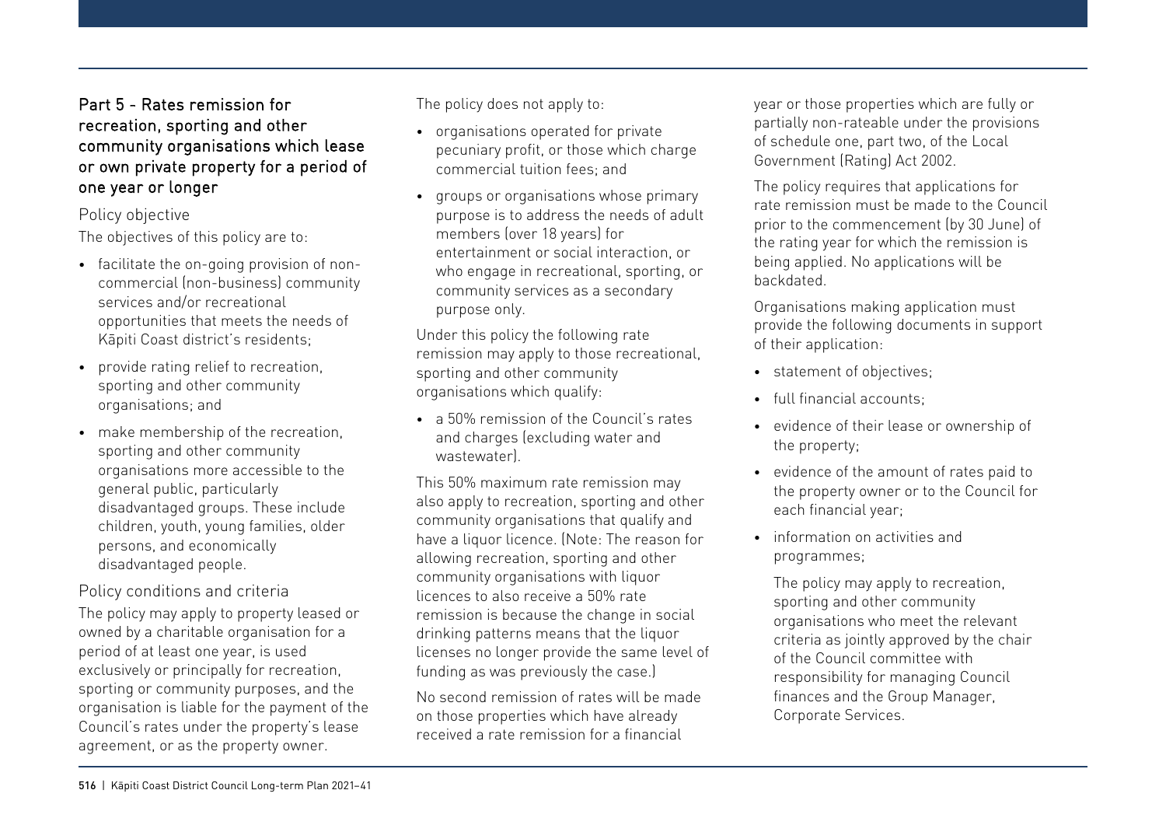Part 5 - Rates remission for recreation, sporting and other community organisations which lease or own private property for a period of one year or longer

#### Policy objective

The objectives of this policy are to:

- facilitate the on-going provision of noncommercial (non-business) community services and/or recreational opportunities that meets the needs of Kāpiti Coast district's residents;
- provide rating relief to recreation, sporting and other community organisations; and
- make membership of the recreation, sporting and other community organisations more accessible to the general public, particularly disadvantaged groups. These include children, youth, young families, older persons, and economically disadvantaged people.

#### Policy conditions and criteria

The policy may apply to property leased or owned by a charitable organisation for a period of at least one year, is used exclusively or principally for recreation, sporting or community purposes, and the organisation is liable for the payment of the Council's rates under the property's lease agreement, or as the property owner.

The policy does not apply to:

- organisations operated for private pecuniary profit, or those which charge commercial tuition fees; and
- groups or organisations whose primary purpose is to address the needs of adult members (over 18 years) for entertainment or social interaction, or who engage in recreational, sporting, or community services as a secondary purpose only.

Under this policy the following rate remission may apply to those recreational, sporting and other community organisations which qualify:

• a 50% remission of the Council's rates and charges (excluding water and wastewater).

This 50% maximum rate remission may also apply to recreation, sporting and other community organisations that qualify and have a liquor licence. (Note: The reason for allowing recreation, sporting and other community organisations with liquor licences to also receive a 50% rate remission is because the change in social drinking patterns means that the liquor licenses no longer provide the same level of funding as was previously the case.)

No second remission of rates will be made on those properties which have already received a rate remission for a financial

year or those properties which are fully or partially non-rateable under the provisions of schedule one, part two, of the Local Government (Rating) Act 2002.

The policy requires that applications for rate remission must be made to the Council prior to the commencement (by 30 June) of the rating year for which the remission is being applied. No applications will be backdated.

Organisations making application must provide the following documents in support of their application:

- statement of objectives;
- full financial accounts;
- evidence of their lease or ownership of the property;
- evidence of the amount of rates paid to the property owner or to the Council for each financial year;
- information on activities and programmes;

The policy may apply to recreation, sporting and other community organisations who meet the relevant criteria as jointly approved by the chair of the Council committee with responsibility for managing Council finances and the Group Manager, Corporate Services.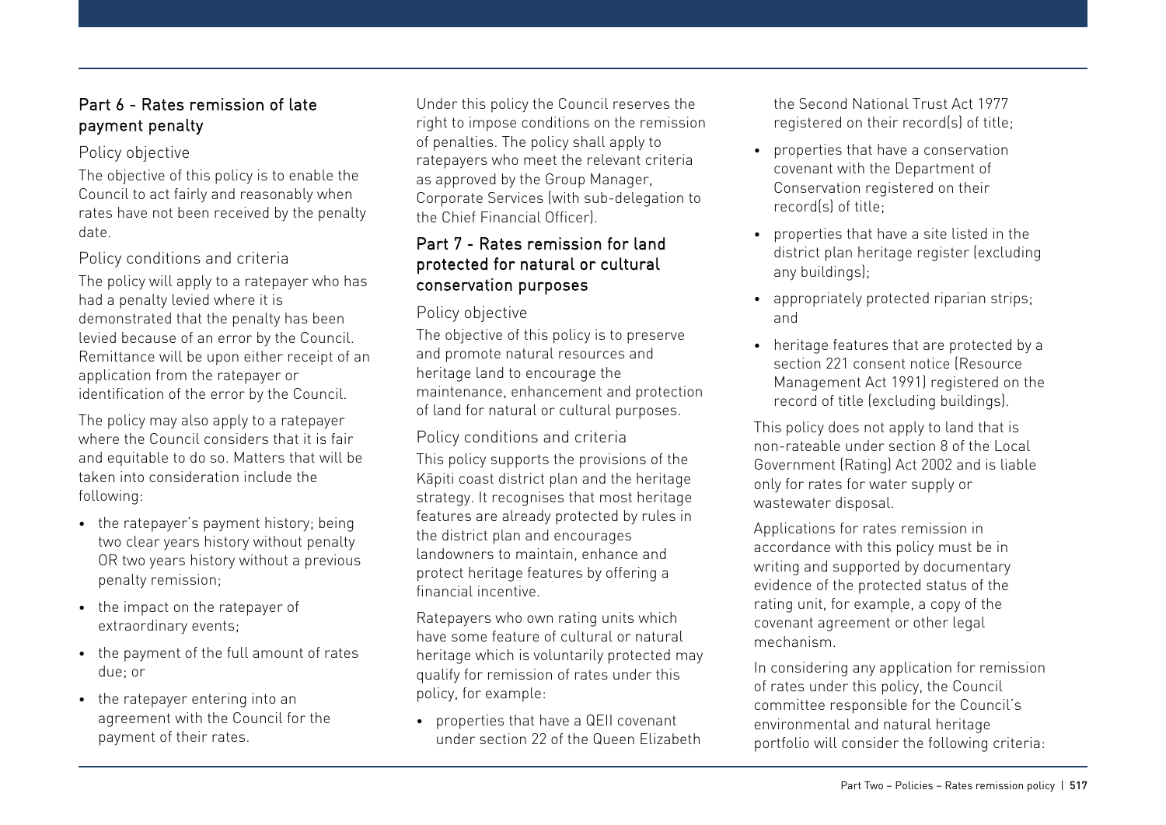#### Part 6 - Rates remission of late payment penalty

#### Policy objective

The objective of this policy is to enable the Council to act fairly and reasonably when rates have not been received by the penalty date.

#### Policy conditions and criteria

The policy will apply to a ratepayer who has had a penalty levied where it is demonstrated that the penalty has been levied because of an error by the Council. Remittance will be upon either receipt of an application from the ratepayer or identification of the error by the Council.

The policy may also apply to a ratepayer where the Council considers that it is fair and equitable to do so. Matters that will be taken into consideration include the following:

- the ratepayer's payment history; being two clear years history without penalty OR two years history without a previous penalty remission;
- the impact on the ratepayer of extraordinary events;
- the payment of the full amount of rates due; or
- the ratepayer entering into an agreement with the Council for the payment of their rates.

Under this policy the Council reserves the right to impose conditions on the remission of penalties. The policy shall apply to ratepayers who meet the relevant criteria as approved by the Group Manager, Corporate Services (with sub-delegation to the Chief Financial Officer).

#### Part 7 - Rates remission for land protected for natural or cultural conservation purposes

#### Policy objective

The objective of this policy is to preserve and promote natural resources and heritage land to encourage the maintenance, enhancement and protection of land for natural or cultural purposes.

#### Policy conditions and criteria

This policy supports the provisions of the Kāpiti coast district plan and the heritage strategy. It recognises that most heritage features are already protected by rules in the district plan and encourages landowners to maintain, enhance and protect heritage features by offering a financial incentive.

Ratepayers who own rating units which have some feature of cultural or natural heritage which is voluntarily protected may qualify for remission of rates under this policy, for example:

• properties that have a QEII covenant under section 22 of the Queen Elizabeth the Second National Trust Act 1977 registered on their record(s) of title:

- properties that have a conservation covenant with the Department of Conservation registered on their record(s) of title;
- properties that have a site listed in the district plan heritage register (excluding any buildings);
- appropriately protected riparian strips; and
- heritage features that are protected by a section 221 consent notice (Resource Management Act 1991) registered on the record of title (excluding buildings).

This policy does not apply to land that is non-rateable under section 8 of the Local Government (Rating) Act 2002 and is liable only for rates for water supply or wastewater disposal.

Applications for rates remission in accordance with this policy must be in writing and supported by documentary evidence of the protected status of the rating unit, for example, a copy of the covenant agreement or other legal mechanism.

In considering any application for remission of rates under this policy, the Council committee responsible for the Council's environmental and natural heritage portfolio will consider the following criteria: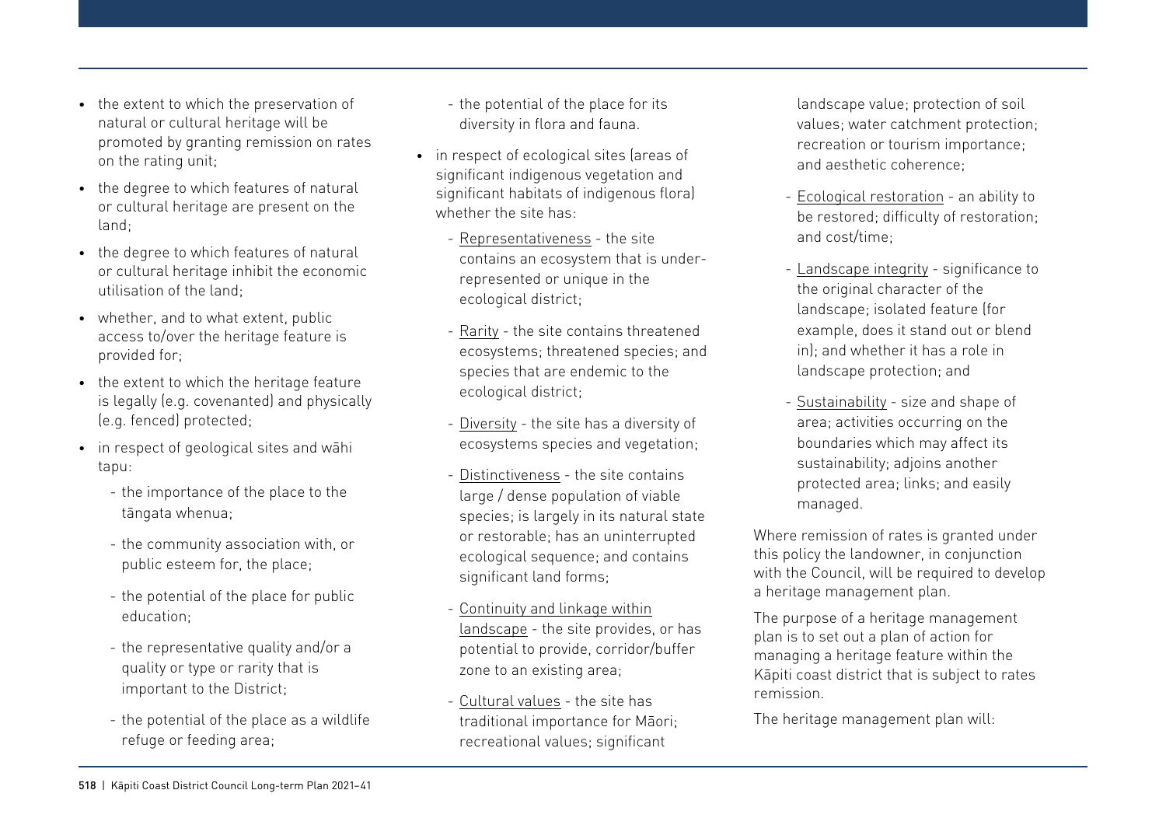- the extent to which the preservation of natural or cultural heritage will be promoted by granting remission on rates on the rating unit;
- the degree to which features of natural or cultural heritage are present on the land;
- the degree to which features of natural or cultural heritage inhibit the economic utilisation of the land;
- whether, and to what extent, public access to/over the heritage feature is provided for;
- the extent to which the heritage feature is legally (e.g. covenanted) and physically (e.g. fenced) protected;
- in respect of geological sites and wāhi tapu:
	- the importance of the place to the tāngata whenua;
	- the community association with, or public esteem for, the place;
	- the potential of the place for public education;
	- the representative quality and/or a quality or type or rarity that is important to the District;
	- the potential of the place as a wildlife refuge or feeding area;
- the potential of the place for its diversity in flora and fauna.
- in respect of ecological sites (areas of significant indigenous vegetation and significant habitats of indigenous flora) whether the site has:
	- Representativeness the site contains an ecosystem that is underrepresented or unique in the ecological district;
	- Rarity the site contains threatened ecosystems; threatened species; and species that are endemic to the ecological district;
	- Diversity the site has a diversity of ecosystems species and vegetation;
	- Distinctiveness the site contains large / dense population of viable species; is largely in its natural state or restorable; has an uninterrupted ecological sequence; and contains significant land forms;
	- Continuity and linkage within landscape - the site provides, or has potential to provide, corridor/buffer zone to an existing area;
	- Cultural values the site has traditional importance for Māori; recreational values; significant

landscape value; protection of soil values; water catchment protection; recreation or tourism importance; and aesthetic coherence;

- Ecological restoration an ability to be restored; difficulty of restoration; and cost/time;
- Landscape integrity significance to the original character of the landscape; isolated feature (for example, does it stand out or blend in); and whether it has a role in landscape protection; and
- Sustainability size and shape of area; activities occurring on the boundaries which may affect its sustainability; adjoins another protected area; links; and easily managed.

Where remission of rates is granted under this policy the landowner, in conjunction with the Council, will be required to develop a heritage management plan.

The purpose of a heritage management plan is to set out a plan of action for managing a heritage feature within the Kāpiti coast district that is subject to rates remission.

The heritage management plan will: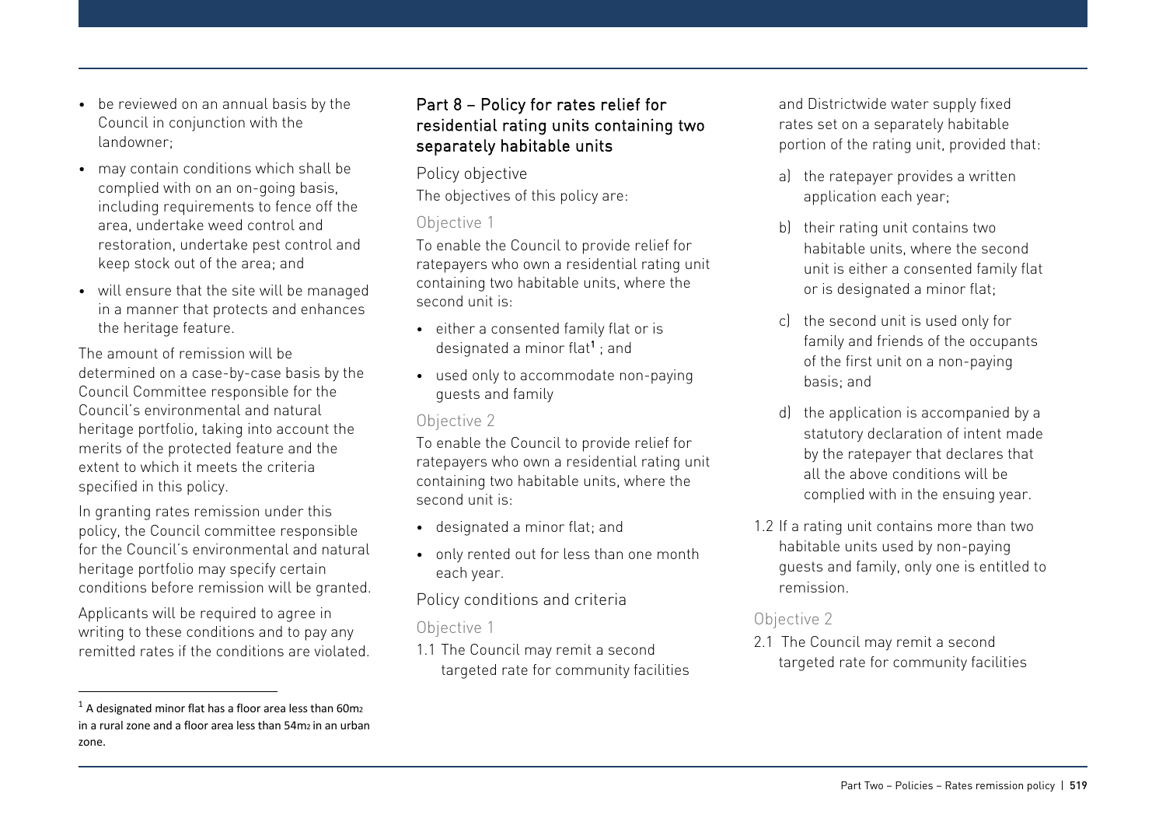9 Part Two – Policies – Rates remission policy | 519

- be reviewed on an annual basis by the Council in conjunction with the landowner;
- may contain conditions which shall be complied with on an on-going basis, including requirements to fence off the area, undertake weed control and restoration, undertake pest control and keep stock out of the area; and
- will ensure that the site will be managed in a manner that protects and enhances the heritage feature.

The amount of remission will be determined on a case-by-case basis by the Council Committee responsible for the Council's environmental and natural heritage portfolio, taking into account the merits of the protected feature and the extent to which it meets the criteria specified in this policy.

In granting rates remission under this policy, the Council committee responsible for the Council's environmental and natural heritage portfolio may specify certain conditions before remission will be granted.

Applicants will be required to agree in writing to these conditions and to pay any remitted rates if the conditions are violated.

#### Part 8 – Policy for rates relief for residential rating units containing two separately habitable units

#### Policy objective

The objectives of this policy are:

#### Objective 1

To enable the Council to provide relief for ratepayers who own a residential rating unit containing two habitable units, where the second unit is:

- either a consented family flat or is designated a minor flat<sup>1</sup> ; and
- used only to accommodate non-paying guests and family

#### Objective 2

To enable the Council to provide relief for ratepayers who own a residential rating unit containing two habitable units, where the second unit is:

- designated a minor flat; and
- only rented out for less than one month each year.

#### Policy conditions and criteria

#### Objective 1

1.1 The Council may remit a second targeted rate for community facilities

and Districtwide water supply fixed rates set on a separately habitable portion of the rating unit, provided that:

- a) the ratepayer provides a written application each year;
- b) their rating unit contains two habitable units, where the second unit is either a consented family flat or is designated a minor flat;
- c) the second unit is used only for family and friends of the occupants of the first unit on a non-paying basis; and
- d) the application is accompanied by a statutory declaration of intent made by the ratepayer that declares that all the above conditions will be complied with in the ensuing year.
- 1.2 If a rating unit contains more than two habitable units used by non-paying guests and family, only one is entitled to remission.

#### Objective 2

2.1 The Council may remit a second targeted rate for community facilities

 $1$  A designated minor flat has a floor area less than 60m<sub>2</sub> in a rural zone and a floor area less than 54m2 in an urban zone.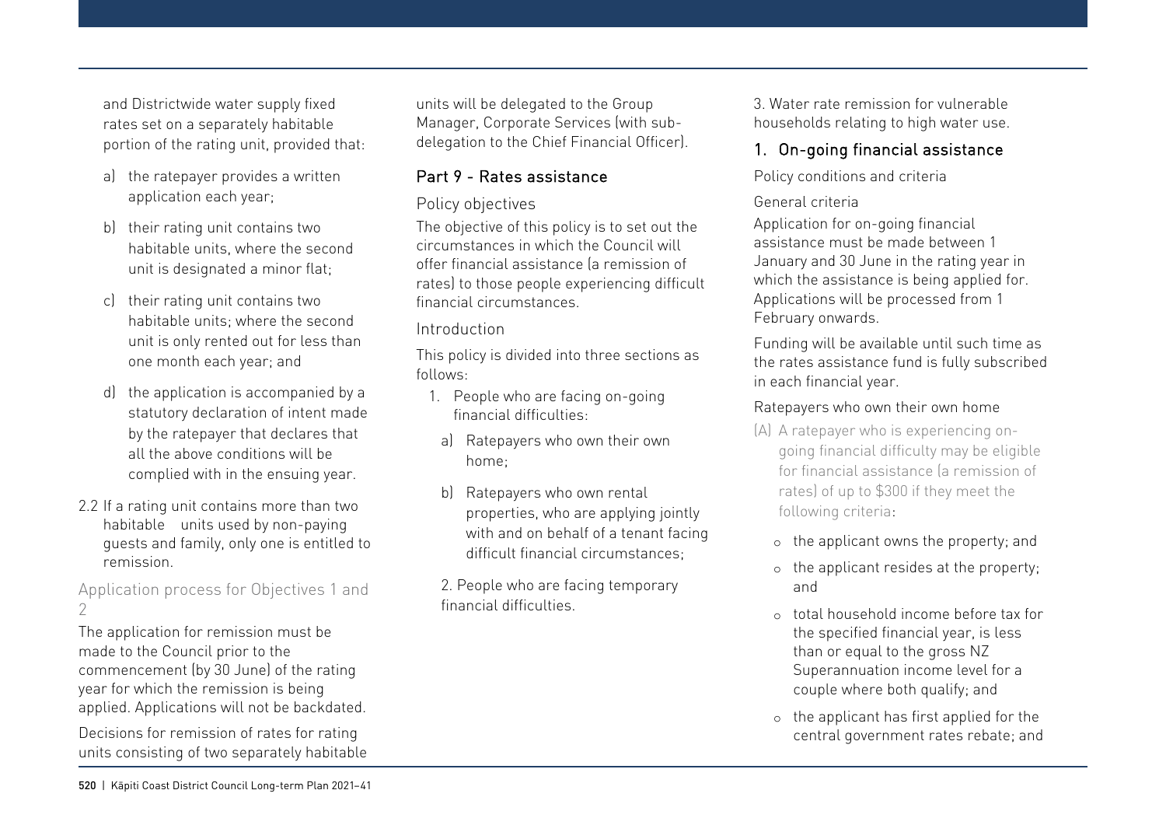and Districtwide water supply fixed rates set on a separately habitable portion of the rating unit, provided that:

- a) the ratepayer provides a written application each year;
- b) their rating unit contains two habitable units, where the second unit is designated a minor flat;
- c) their rating unit contains two habitable units; where the second unit is only rented out for less than one month each year; and
- d) the application is accompanied by a statutory declaration of intent made by the ratepayer that declares that all the above conditions will be complied with in the ensuing year.
- 2.2 If a rating unit contains more than two habitable units used by non-paying guests and family, only one is entitled to remission.

Application process for Objectives 1 and  $\mathcal{P}$ 

The application for remission must be made to the Council prior to the commencement (by 30 June) of the rating year for which the remission is being applied. Applications will not be backdated.

Decisions for remission of rates for rating units consisting of two separately habitable units will be delegated to the Group Manager, Corporate Services (with subdelegation to the Chief Financial Officer).

## Part 9 - Rates assistance

#### Policy objectives

The objective of this policy is to set out the circumstances in which the Council will offer financial assistance (a remission of rates) to those people experiencing difficult financial circumstances.

Introduction

This policy is divided into three sections as follows:

- 1. People who are facing on-going financial difficulties:
	- a) Ratepayers who own their own home;
	- b) Ratepayers who own rental properties, who are applying jointly with and on behalf of a tenant facing difficult financial circumstances;

2. People who are facing temporary financial difficulties.

3. Water rate remission for vulnerable households relating to high water use.

## 1. On-going financial assistance

Policy conditions and criteria

#### General criteria

Application for on-going financial assistance must be made between 1 January and 30 June in the rating year in which the assistance is being applied for. Applications will be processed from 1 February onwards.

Funding will be available until such time as the rates assistance fund is fully subscribed in each financial year.

#### Ratepayers who own their own home

- (A) A ratepayer who is experiencing ongoing financial difficulty may be eligible for financial assistance (a remission of rates) of up to \$300 if they meet the following criteria:
	- o the applicant owns the property; and
	- o the applicant resides at the property; and
	- o total household income before tax for the specified financial year, is less than or equal to the gross NZ Superannuation income level for a couple where both qualify; and
	- o the applicant has first applied for the central government rates rebate; and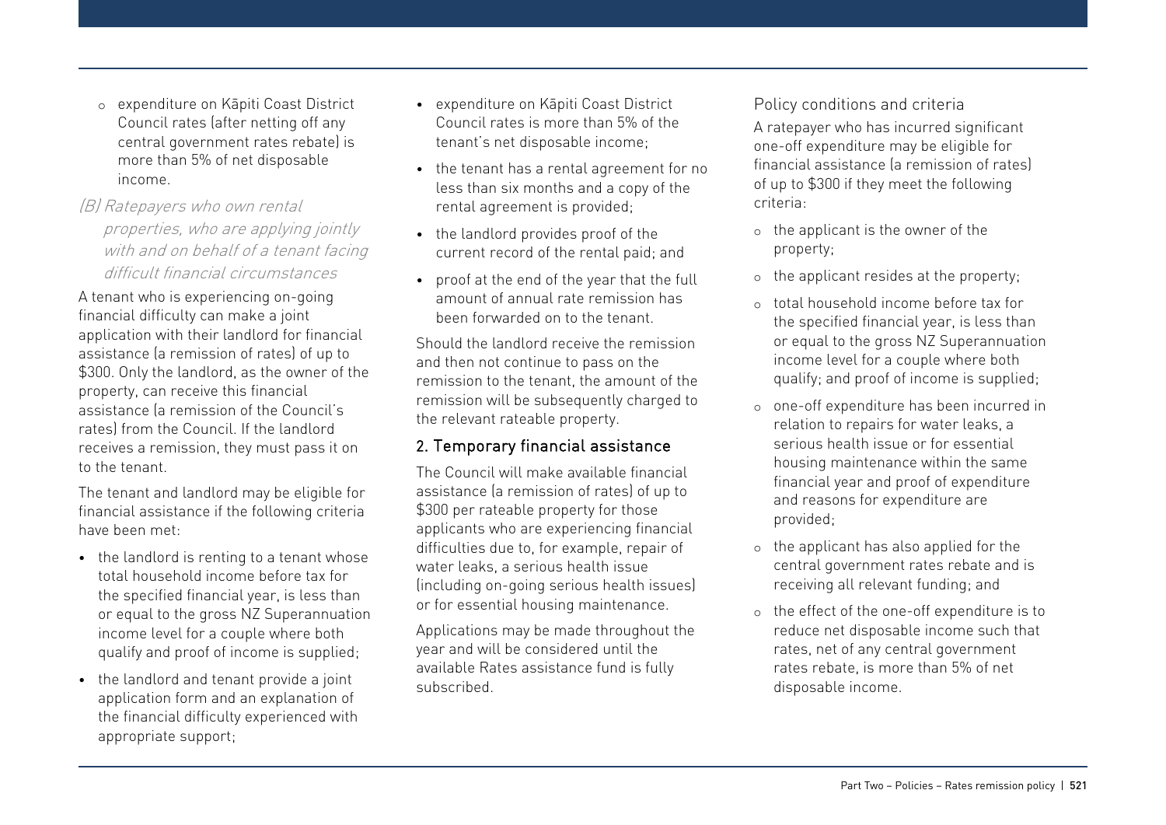- o expenditure on Kāpiti Coast District Council rates (after netting off any central government rates rebate) is more than 5% of net disposable income.
- (B) Ratepayers who own rental properties, who are applying jointly with and on behalf of a tenant facing difficult financial circumstances

A tenant who is experiencing on-going financial difficulty can make a joint application with their landlord for financial assistance (a remission of rates) of up to \$300. Only the landlord, as the owner of the property, can receive this financial assistance (a remission of the Council's rates) from the Council. If the landlord receives a remission, they must pass it on to the tenant.

The tenant and landlord may be eligible for financial assistance if the following criteria have been met:

- the landlord is renting to a tenant whose total household income before tax for the specified financial year, is less than or equal to the gross NZ Superannuation income level for a couple where both qualify and proof of income is supplied;
- the landlord and tenant provide a joint application form and an explanation of the financial difficulty experienced with appropriate support;
- expenditure on Kāpiti Coast District Council rates is more than 5% of the tenant's net disposable income;
- the tenant has a rental agreement for no less than six months and a copy of the rental agreement is provided;
- the landlord provides proof of the current record of the rental paid; and
- proof at the end of the year that the full amount of annual rate remission has been forwarded on to the tenant.

Should the landlord receive the remission and then not continue to pass on the remission to the tenant, the amount of the remission will be subsequently charged to the relevant rateable property.

#### 2. Temporary financial assistance

The Council will make available financial assistance (a remission of rates) of up to \$300 per rateable property for those applicants who are experiencing financial difficulties due to, for example, repair of water leaks, a serious health issue (including on-going serious health issues) or for essential housing maintenance.

Applications may be made throughout the year and will be considered until the available Rates assistance fund is fully subscribed.

Policy conditions and criteria A ratepayer who has incurred significant one-off expenditure may be eligible for financial assistance (a remission of rates) of up to \$300 if they meet the following criteria:

- o the applicant is the owner of the property;
- o the applicant resides at the property;
- o total household income before tax for the specified financial year, is less than or equal to the gross NZ Superannuation income level for a couple where both qualify; and proof of income is supplied;
- o one-off expenditure has been incurred in relation to repairs for water leaks, a serious health issue or for essential housing maintenance within the same financial year and proof of expenditure and reasons for expenditure are provided;
- o the applicant has also applied for the central government rates rebate and is receiving all relevant funding; and
- o the effect of the one-off expenditure is to reduce net disposable income such that rates, net of any central government rates rebate, is more than 5% of net disposable income.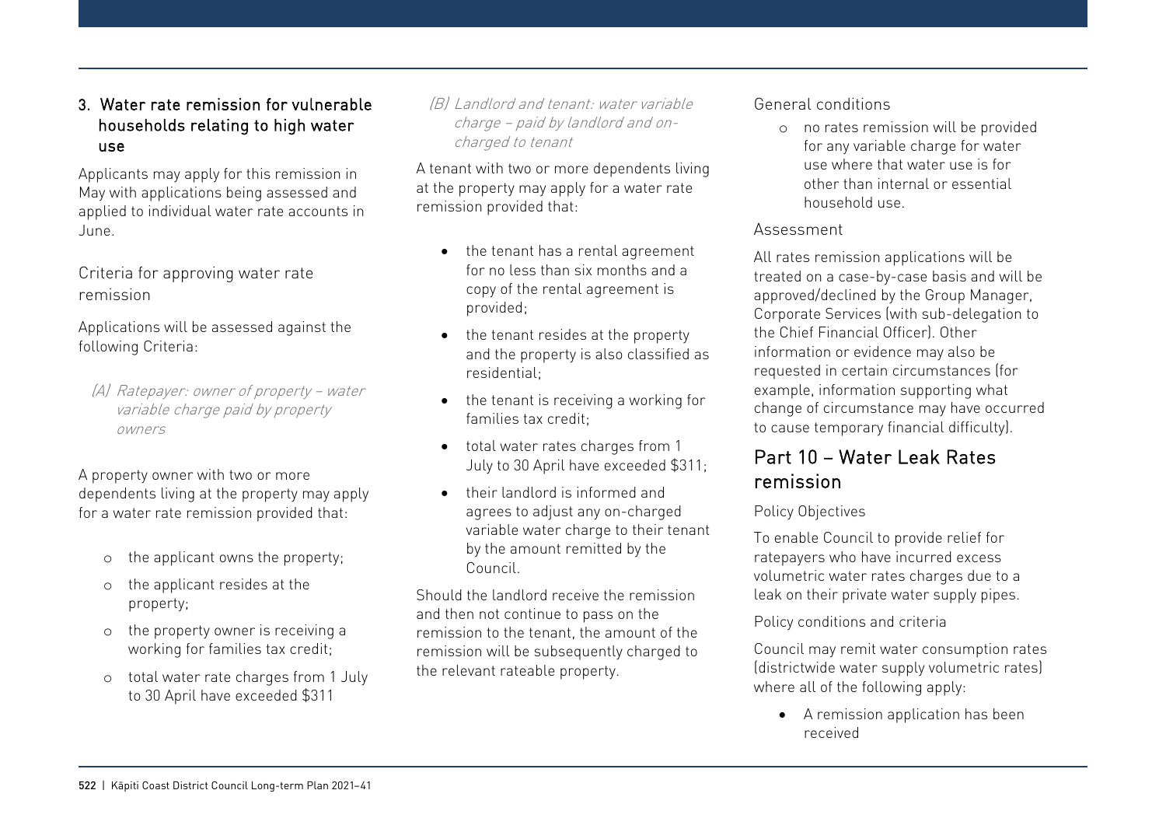#### 3. Water rate remission for vulnerable households relating to high water use

Applicants may apply for this remission in May with applications being assessed and applied to individual water rate accounts in June.

Criteria for approving water rate remission

Applications will be assessed against the following Criteria:

(A) Ratepayer: owner of property – water variable charge paid by property owners

A property owner with two or more dependents living at the property may apply for a water rate remission provided that:

- o the applicant owns the property;
- o the applicant resides at the property;
- o the property owner is receiving a working for families tax credit;
- o total water rate charges from 1 July to 30 April have exceeded \$311

(B) Landlord and tenant: water variable charge – paid by landlord and oncharged to tenant

A tenant with two or more dependents living at the property may apply for a water rate remission provided that:

- the tenant has a rental agreement for no less than six months and a copy of the rental agreement is provided;
- the tenant resides at the property and the property is also classified as residential;
- the tenant is receiving a working for families tax credit;
- total water rates charges from 1 July to 30 April have exceeded \$311;
- their landlord is informed and agrees to adjust any on-charged variable water charge to their tenant by the amount remitted by the Council.

Should the landlord receive the remission and then not continue to pass on the remission to the tenant, the amount of the remission will be subsequently charged to the relevant rateable property.

General conditions

o no rates remission will be provided for any variable charge for water use where that water use is for other than internal or essential household use.

#### Assessment

All rates remission applications will be treated on a case-by-case basis and will be approved/declined by the Group Manager, Corporate Services (with sub-delegation to the Chief Financial Officer). Other information or evidence may also be requested in certain circumstances (for example, information supporting what change of circumstance may have occurred to cause temporary financial difficulty).

# Part 10 – Water Leak Rates remission

#### Policy Objectives

To enable Council to provide relief for ratepayers who have incurred excess volumetric water rates charges due to a leak on their private water supply pipes.

Policy conditions and criteria

Council may remit water consumption rates (districtwide water supply volumetric rates) where all of the following apply:

• A remission application has been received